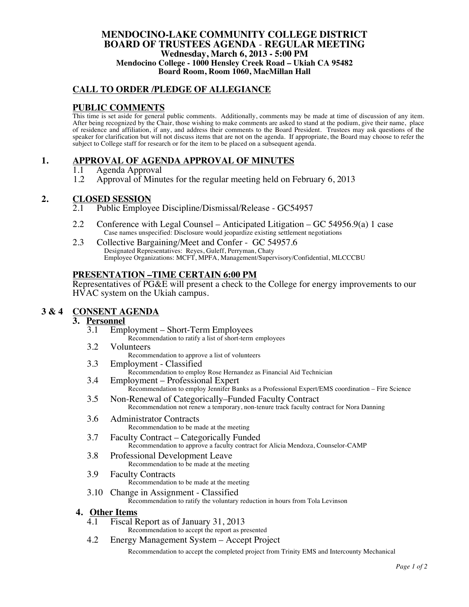### **MENDOCINO-LAKE COMMUNITY COLLEGE DISTRICT BOARD OF TRUSTEES AGENDA** - **REGULAR MEETING Wednesday, March 6, 2013 - 5:00 PM Mendocino College - 1000 Hensley Creek Road – Ukiah CA 95482 Board Room, Room 1060, MacMillan Hall**

# **CALL TO ORDER /PLEDGE OF ALLEGIANCE**

# **PUBLIC COMMENTS**

This time is set aside for general public comments. Additionally, comments may be made at time of discussion of any item. After being recognized by the Chair, those wishing to make comments are asked to stand at the podium, give their name, place of residence and affiliation, if any, and address their comments to the Board President. Trustees may ask questions of the speaker for clarification but will not discuss items that are not on the agenda. If appropriate, the Board may choose to refer the subject to College staff for research or for the item to be placed on a subsequent agenda.

## **1. APPROVAL OF AGENDA APPROVAL OF MINUTES**

- 1.1 Agenda Approval
- 1.2 Approval of Minutes for the regular meeting held on February 6, 2013

# 2. CLOSED SESSION

- Public Employee Discipline/Dismissal/Release GC54957
- 2.2 Conference with Legal Counsel Anticipated Litigation GC 54956.9(a) 1 case Case names unspecified: Disclosure would jeopardize existing settlement negotiations
- 2.3 Collective Bargaining/Meet and Confer GC 54957.6 Designated Representatives: Reyes, Guleff, Perryman, Chaty Employee Organizations: MCFT, MPFA, Management/Supervisory/Confidential, MLCCCBU

## **PRESENTATION –TIME CERTAIN 6:00 PM**

Representatives of PG&E will present a check to the College for energy improvements to our HVAC system on the Ukiah campus.

# **3 & 4 CONSENT AGENDA**

## **3. Personnel**

- 3.1 Employment Short-Term Employees Recommendation to ratify a list of short-term employees
- 3.2 Volunteers

Recommendation to approve a list of volunteers

3.3 Employment - Classified

Recommendation to employ Rose Hernandez as Financial Aid Technician

- 3.4 Employment Professional Expert Recommendation to employ Jennifer Banks as a Professional Expert/EMS coordination – Fire Science
- 3.5 Non-Renewal of Categorically–Funded Faculty Contract Recommendation not renew a temporary, non-tenure track faculty contract for Nora Danning
- 3.6 Administrator Contracts Recommendation to be made at the meeting
- 3.7 Faculty Contract Categorically Funded Recommendation to approve a faculty contract for Alicia Mendoza, Counselor-CAMP
- 3.8 Professional Development Leave Recommendation to be made at the meeting
- 3.9 Faculty Contracts Recommendation to be made at the meeting
- 3.10 Change in Assignment Classified Recommendation to ratify the voluntary reduction in hours from Tola Levinson

#### **4. Other Items**

- 4.1 Fiscal Report as of January 31, 2013
	- Recommendation to accept the report as presented
- 4.2 Energy Management System Accept Project

Recommendation to accept the completed project from Trinity EMS and Intercounty Mechanical